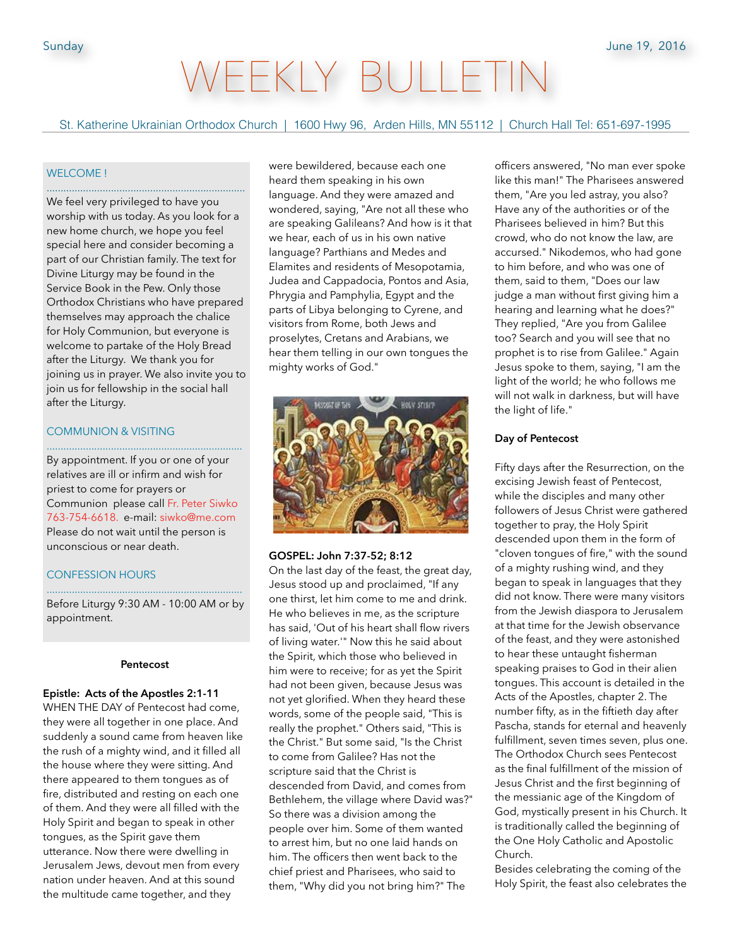# VEEKLY BULLE

St. Katherine Ukrainian Orthodox Church | 1600 Hwy 96, Arden Hills, MN 55112 | Church Hall Tel: 651-697-1995

## WELCOME !

We feel very privileged to have you worship with us today. As you look for a new home church, we hope you feel special here and consider becoming a part of our Christian family. The text for Divine Liturgy may be found in the Service Book in the Pew. Only those Orthodox Christians who have prepared themselves may approach the chalice for Holy Communion, but everyone is welcome to partake of the Holy Bread after the Liturgy. We thank you for joining us in prayer. We also invite you to join us for fellowship in the social hall after the Liturgy.

.......................................................................

#### COMMUNION & VISITING ......................................................................

By appointment. If you or one of your relatives are ill or infirm and wish for priest to come for prayers or Communion please call Fr. Peter Siwko 763-754-6618. e-mail: siwko@me.com Please do not wait until the person is unconscious or near death.

#### CONFESSION HOURS

...................................................................... Before Liturgy 9:30 AM - 10:00 AM or by appointment.

## **Pentecost**

**Epistle: Acts of the Apostles 2:1-11** 

WHEN THE DAY of Pentecost had come, they were all together in one place. And suddenly a sound came from heaven like the rush of a mighty wind, and it filled all the house where they were sitting. And there appeared to them tongues as of fire, distributed and resting on each one of them. And they were all filled with the Holy Spirit and began to speak in other tongues, as the Spirit gave them utterance. Now there were dwelling in Jerusalem Jews, devout men from every nation under heaven. And at this sound the multitude came together, and they

were bewildered, because each one heard them speaking in his own language. And they were amazed and wondered, saying, "Are not all these who are speaking Galileans? And how is it that we hear, each of us in his own native language? Parthians and Medes and Elamites and residents of Mesopotamia, Judea and Cappadocia, Pontos and Asia, Phrygia and Pamphylia, Egypt and the parts of Libya belonging to Cyrene, and visitors from Rome, both Jews and proselytes, Cretans and Arabians, we hear them telling in our own tongues the mighty works of God."



#### **GOSPEL: John 7:37-52; 8:12**

On the last day of the feast, the great day, Jesus stood up and proclaimed, "If any one thirst, let him come to me and drink. He who believes in me, as the scripture has said, 'Out of his heart shall flow rivers of living water.'" Now this he said about the Spirit, which those who believed in him were to receive; for as yet the Spirit had not been given, because Jesus was not yet glorified. When they heard these words, some of the people said, "This is really the prophet." Others said, "This is the Christ." But some said, "Is the Christ to come from Galilee? Has not the scripture said that the Christ is descended from David, and comes from Bethlehem, the village where David was?" So there was a division among the people over him. Some of them wanted to arrest him, but no one laid hands on him. The officers then went back to the chief priest and Pharisees, who said to them, "Why did you not bring him?" The

officers answered, "No man ever spoke like this man!" The Pharisees answered them, "Are you led astray, you also? Have any of the authorities or of the Pharisees believed in him? But this crowd, who do not know the law, are accursed." Nikodemos, who had gone to him before, and who was one of them, said to them, "Does our law judge a man without first giving him a hearing and learning what he does?" They replied, "Are you from Galilee too? Search and you will see that no prophet is to rise from Galilee." Again Jesus spoke to them, saying, "I am the light of the world; he who follows me will not walk in darkness, but will have the light of life."

#### **Day of Pentecost**

Fifty days after the Resurrection, on the excising Jewish feast of Pentecost, while the disciples and many other followers of Jesus Christ were gathered together to pray, the Holy Spirit descended upon them in the form of "cloven tongues of fire," with the sound of a mighty rushing wind, and they began to speak in languages that they did not know. There were many visitors from the Jewish diaspora to Jerusalem at that time for the Jewish observance of the feast, and they were astonished to hear these untaught fisherman speaking praises to God in their alien tongues. This account is detailed in the Acts of the Apostles, chapter 2. The number fifty, as in the fiftieth day after Pascha, stands for eternal and heavenly fulfillment, seven times seven, plus one. The Orthodox Church sees Pentecost as the final fulfillment of the mission of Jesus Christ and the first beginning of the messianic age of the Kingdom of God, mystically present in his Church. It is traditionally called the beginning of the One Holy Catholic and Apostolic Church.

Besides celebrating the coming of the Holy Spirit, the feast also celebrates the